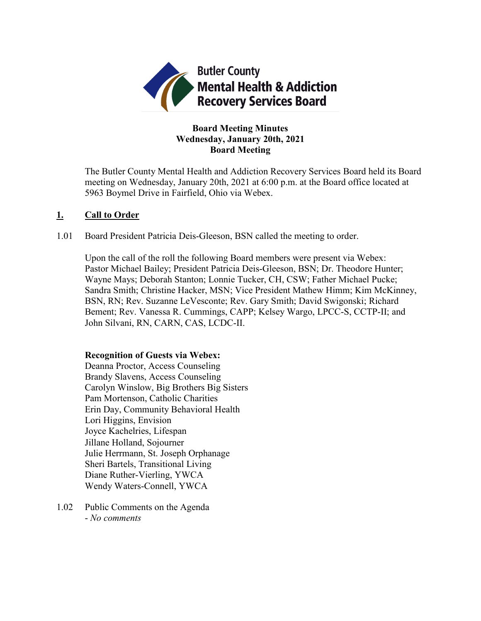

# **Board Meeting Minutes Wednesday, January 20th, 2021 Board Meeting**

The Butler County Mental Health and Addiction Recovery Services Board held its Board meeting on Wednesday, January 20th, 2021 at 6:00 p.m. at the Board office located at 5963 Boymel Drive in Fairfield, Ohio via Webex.

## **1. Call to Order**

1.01 Board President Patricia Deis-Gleeson, BSN called the meeting to order.

Upon the call of the roll the following Board members were present via Webex: Pastor Michael Bailey; President Patricia Deis-Gleeson, BSN; Dr. Theodore Hunter; Wayne Mays; Deborah Stanton; Lonnie Tucker, CH, CSW; Father Michael Pucke; Sandra Smith; Christine Hacker, MSN; Vice President Mathew Himm; Kim McKinney, BSN, RN; Rev. Suzanne LeVesconte; Rev. Gary Smith; David Swigonski; Richard Bement; Rev. Vanessa R. Cummings, CAPP; Kelsey Wargo, LPCC-S, CCTP-II; and John Silvani, RN, CARN, CAS, LCDC-II.

#### **Recognition of Guests via Webex:**

Deanna Proctor, Access Counseling Brandy Slavens, Access Counseling Carolyn Winslow, Big Brothers Big Sisters Pam Mortenson, Catholic Charities Erin Day, Community Behavioral Health Lori Higgins, Envision Joyce Kachelries, Lifespan Jillane Holland, Sojourner Julie Herrmann, St. Joseph Orphanage Sheri Bartels, Transitional Living Diane Ruther-Vierling, YWCA Wendy Waters-Connell, YWCA

1.02 Public Comments on the Agenda - *No comments*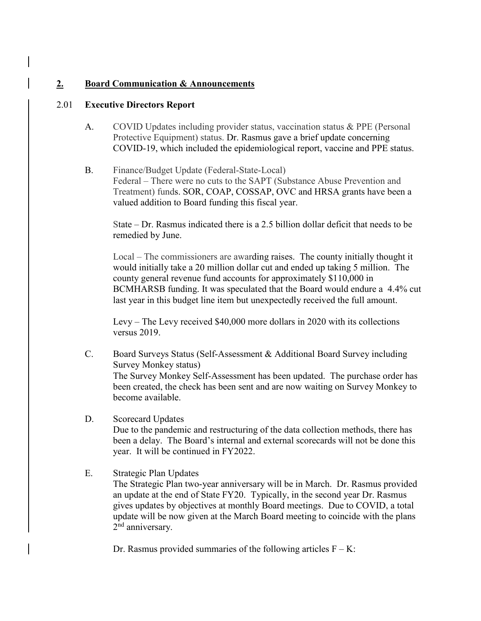# **2. Board Communication & Announcements**

#### 2.01 **Executive Directors Report**

- A. COVID Updates including provider status, vaccination status & PPE (Personal Protective Equipment) status. Dr. Rasmus gave a brief update concerning COVID-19, which included the epidemiological report, vaccine and PPE status.
- B. Finance/Budget Update (Federal-State-Local) Federal – There were no cuts to the SAPT (Substance Abuse Prevention and Treatment) funds. SOR, COAP, COSSAP, OVC and HRSA grants have been a valued addition to Board funding this fiscal year.

State – Dr. Rasmus indicated there is a 2.5 billion dollar deficit that needs to be remedied by June.

Local – The commissioners are awarding raises. The county initially thought it would initially take a 20 million dollar cut and ended up taking 5 million. The county general revenue fund accounts for approximately \$110,000 in BCMHARSB funding. It was speculated that the Board would endure a 4.4% cut last year in this budget line item but unexpectedly received the full amount.

Levy – The Levy received \$40,000 more dollars in 2020 with its collections versus 2019.

- C. Board Surveys Status (Self-Assessment & Additional Board Survey including Survey Monkey status) The Survey Monkey Self-Assessment has been updated. The purchase order has been created, the check has been sent and are now waiting on Survey Monkey to become available.
- D. Scorecard Updates

Due to the pandemic and restructuring of the data collection methods, there has been a delay. The Board's internal and external scorecards will not be done this year. It will be continued in FY2022.

E. Strategic Plan Updates The Strategic Plan two-year anniversary will be in March. Dr. Rasmus provided an update at the end of State FY20. Typically, in the second year Dr. Rasmus gives updates by objectives at monthly Board meetings. Due to COVID, a total update will be now given at the March Board meeting to coincide with the plans 2<sup>nd</sup> anniversary.

Dr. Rasmus provided summaries of the following articles  $F - K$ :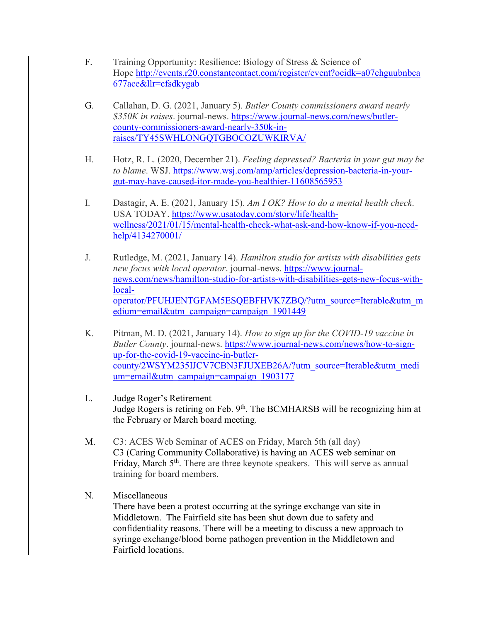- F. Training Opportunity: Resilience: Biology of Stress & Science of Hope [http://events.r20.constantcontact.com/register/event?oeidk=a07ehguubnbca](http://events.r20.constantcontact.com/register/event?oeidk=a07ehguubnbca677ace&llr=cfsdkygab) [677ace&llr=cfsdkygab](http://events.r20.constantcontact.com/register/event?oeidk=a07ehguubnbca677ace&llr=cfsdkygab)
- G. Callahan, D. G. (2021, January 5). *Butler County commissioners award nearly \$350K in raises*. journal-news. [https://www.journal-news.com/news/butler](https://www.journal-news.com/news/butler-county-commissioners-award-nearly-350k-in-raises/TY45SWHLONGQTGBOCOZUWKIRVA/)[county-commissioners-award-nearly-350k-in](https://www.journal-news.com/news/butler-county-commissioners-award-nearly-350k-in-raises/TY45SWHLONGQTGBOCOZUWKIRVA/)[raises/TY45SWHLONGQTGBOCOZUWKIRVA/](https://www.journal-news.com/news/butler-county-commissioners-award-nearly-350k-in-raises/TY45SWHLONGQTGBOCOZUWKIRVA/)
- H. Hotz, R. L. (2020, December 21). *Feeling depressed? Bacteria in your gut may be to blame*. WSJ. [https://www.wsj.com/amp/articles/depression-bacteria-in-your](https://www.wsj.com/amp/articles/depression-bacteria-in-your-gut-may-have-caused-itor-made-you-healthier-11608565953)[gut-may-have-caused-itor-made-you-healthier-11608565953](https://www.wsj.com/amp/articles/depression-bacteria-in-your-gut-may-have-caused-itor-made-you-healthier-11608565953)
- I. Dastagir, A. E. (2021, January 15). *Am I OK? How to do a mental health check*. USA TODAY. [https://www.usatoday.com/story/life/health](https://www.usatoday.com/story/life/health-wellness/2021/01/15/mental-health-check-what-ask-and-how-know-if-you-need-help/4134270001/)[wellness/2021/01/15/mental-health-check-what-ask-and-how-know-if-you-need](https://www.usatoday.com/story/life/health-wellness/2021/01/15/mental-health-check-what-ask-and-how-know-if-you-need-help/4134270001/)[help/4134270001/](https://www.usatoday.com/story/life/health-wellness/2021/01/15/mental-health-check-what-ask-and-how-know-if-you-need-help/4134270001/)
- J. Rutledge, M. (2021, January 14). *Hamilton studio for artists with disabilities gets new focus with local operator*. journal-news. [https://www.journal](https://www.journal-news.com/news/hamilton-studio-for-artists-with-disabilities-gets-new-focus-with-local-operator/PFUHJENTGFAM5ESQEBFHVK7ZBQ/?utm_source=Iterable&utm_medium=email&utm_campaign=campaign_1901449)[news.com/news/hamilton-studio-for-artists-with-disabilities-gets-new-focus-with](https://www.journal-news.com/news/hamilton-studio-for-artists-with-disabilities-gets-new-focus-with-local-operator/PFUHJENTGFAM5ESQEBFHVK7ZBQ/?utm_source=Iterable&utm_medium=email&utm_campaign=campaign_1901449)[local](https://www.journal-news.com/news/hamilton-studio-for-artists-with-disabilities-gets-new-focus-with-local-operator/PFUHJENTGFAM5ESQEBFHVK7ZBQ/?utm_source=Iterable&utm_medium=email&utm_campaign=campaign_1901449)[operator/PFUHJENTGFAM5ESQEBFHVK7ZBQ/?utm\\_source=Iterable&utm\\_m](https://www.journal-news.com/news/hamilton-studio-for-artists-with-disabilities-gets-new-focus-with-local-operator/PFUHJENTGFAM5ESQEBFHVK7ZBQ/?utm_source=Iterable&utm_medium=email&utm_campaign=campaign_1901449) [edium=email&utm\\_campaign=campaign\\_1901449](https://www.journal-news.com/news/hamilton-studio-for-artists-with-disabilities-gets-new-focus-with-local-operator/PFUHJENTGFAM5ESQEBFHVK7ZBQ/?utm_source=Iterable&utm_medium=email&utm_campaign=campaign_1901449)
- K. Pitman, M. D. (2021, January 14). *How to sign up for the COVID-19 vaccine in Butler County*. journal-news. [https://www.journal-news.com/news/how-to-sign](https://www.journal-news.com/news/how-to-sign-up-for-the-covid-19-vaccine-in-butler-county/2WSYM235IJCV7CBN3FJUXEB26A/?utm_source=Iterable&utm_medium=email&utm_campaign=campaign_1903177)[up-for-the-covid-19-vaccine-in-butler](https://www.journal-news.com/news/how-to-sign-up-for-the-covid-19-vaccine-in-butler-county/2WSYM235IJCV7CBN3FJUXEB26A/?utm_source=Iterable&utm_medium=email&utm_campaign=campaign_1903177)[county/2WSYM235IJCV7CBN3FJUXEB26A/?utm\\_source=Iterable&utm\\_medi](https://www.journal-news.com/news/how-to-sign-up-for-the-covid-19-vaccine-in-butler-county/2WSYM235IJCV7CBN3FJUXEB26A/?utm_source=Iterable&utm_medium=email&utm_campaign=campaign_1903177) [um=email&utm\\_campaign=campaign\\_1903177](https://www.journal-news.com/news/how-to-sign-up-for-the-covid-19-vaccine-in-butler-county/2WSYM235IJCV7CBN3FJUXEB26A/?utm_source=Iterable&utm_medium=email&utm_campaign=campaign_1903177)
- L. Judge Roger's Retirement Judge Rogers is retiring on Feb.  $9<sup>th</sup>$ . The BCMHARSB will be recognizing him at the February or March board meeting.
- M. C3: ACES Web Seminar of ACES on Friday, March 5th (all day) C3 (Caring Community Collaborative) is having an ACES web seminar on Friday, March 5<sup>th</sup>. There are three keynote speakers. This will serve as annual training for board members.
- N. Miscellaneous

There have been a protest occurring at the syringe exchange van site in Middletown. The Fairfield site has been shut down due to safety and confidentiality reasons. There will be a meeting to discuss a new approach to syringe exchange/blood borne pathogen prevention in the Middletown and Fairfield locations.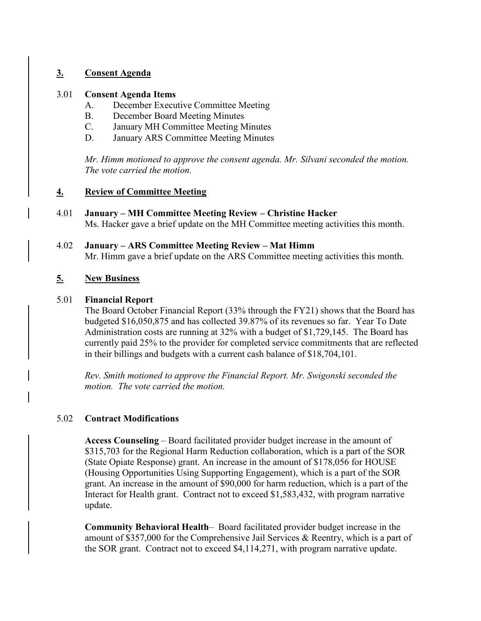# **3. Consent Agenda**

### 3.01 **Consent Agenda Items**

- A. December Executive Committee Meeting
- B. December Board Meeting Minutes
- C. January MH Committee Meeting Minutes
- D. January ARS Committee Meeting Minutes

*Mr. Himm motioned to approve the consent agenda. Mr. Silvani seconded the motion. The vote carried the motion.*

# **4. Review of Committee Meeting**

4.01 **January – MH Committee Meeting Review – Christine Hacker** Ms. Hacker gave a brief update on the MH Committee meeting activities this month.

# 4.02 **January – ARS Committee Meeting Review – Mat Himm** Mr. Himm gave a brief update on the ARS Committee meeting activities this month.

# **5. New Business**

## 5.01 **Financial Report**

The Board October Financial Report (33% through the FY21) shows that the Board has budgeted \$16,050,875 and has collected 39.87% of its revenues so far. Year To Date Administration costs are running at 32% with a budget of \$1,729,145. The Board has currently paid 25% to the provider for completed service commitments that are reflected in their billings and budgets with a current cash balance of \$18,704,101.

*Rev. Smith motioned to approve the Financial Report. Mr. Swigonski seconded the motion. The vote carried the motion.*

# 5.02 **Contract Modifications**

**Access Counseling** – Board facilitated provider budget increase in the amount of \$315,703 for the Regional Harm Reduction collaboration, which is a part of the SOR (State Opiate Response) grant. An increase in the amount of \$178,056 for HOUSE (Housing Opportunities Using Supporting Engagement), which is a part of the SOR grant. An increase in the amount of \$90,000 for harm reduction, which is a part of the Interact for Health grant. Contract not to exceed \$1,583,432, with program narrative update.

**Community Behavioral Health**– Board facilitated provider budget increase in the amount of \$357,000 for the Comprehensive Jail Services & Reentry, which is a part of the SOR grant. Contract not to exceed \$4,114,271, with program narrative update.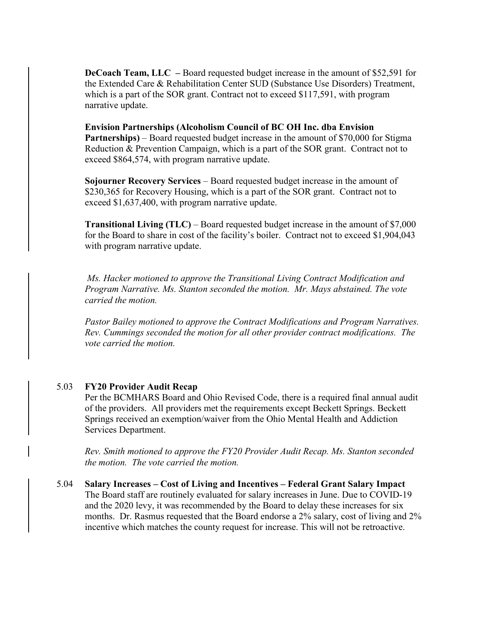**DeCoach Team, LLC –** Board requested budget increase in the amount of \$52,591 for the Extended Care & Rehabilitation Center SUD (Substance Use Disorders) Treatment, which is a part of the SOR grant. Contract not to exceed \$117,591, with program narrative update.

**Envision Partnerships (Alcoholism Council of BC OH Inc. dba Envision Partnerships)** – Board requested budget increase in the amount of \$70,000 for Stigma Reduction & Prevention Campaign, which is a part of the SOR grant. Contract not to exceed \$864,574, with program narrative update.

**Sojourner Recovery Services** – Board requested budget increase in the amount of \$230,365 for Recovery Housing, which is a part of the SOR grant. Contract not to exceed \$1,637,400, with program narrative update.

**Transitional Living (TLC)** – Board requested budget increase in the amount of \$7,000 for the Board to share in cost of the facility's boiler. Contract not to exceed \$1,904,043 with program narrative update.

*Ms. Hacker motioned to approve the Transitional Living Contract Modification and Program Narrative. Ms. Stanton seconded the motion. Mr. Mays abstained. The vote carried the motion.*

*Pastor Bailey motioned to approve the Contract Modifications and Program Narratives. Rev. Cummings seconded the motion for all other provider contract modifications. The vote carried the motion.*

#### 5.03 **FY20 Provider Audit Recap**

Per the BCMHARS Board and Ohio Revised Code, there is a required final annual audit of the providers. All providers met the requirements except Beckett Springs. Beckett Springs received an exemption/waiver from the Ohio Mental Health and Addiction Services Department.

*Rev. Smith motioned to approve the FY20 Provider Audit Recap. Ms. Stanton seconded the motion. The vote carried the motion.*

5.04 **Salary Increases – Cost of Living and Incentives – Federal Grant Salary Impact** The Board staff are routinely evaluated for salary increases in June. Due to COVID-19 and the 2020 levy, it was recommended by the Board to delay these increases for six months. Dr. Rasmus requested that the Board endorse a 2% salary, cost of living and 2% incentive which matches the county request for increase. This will not be retroactive.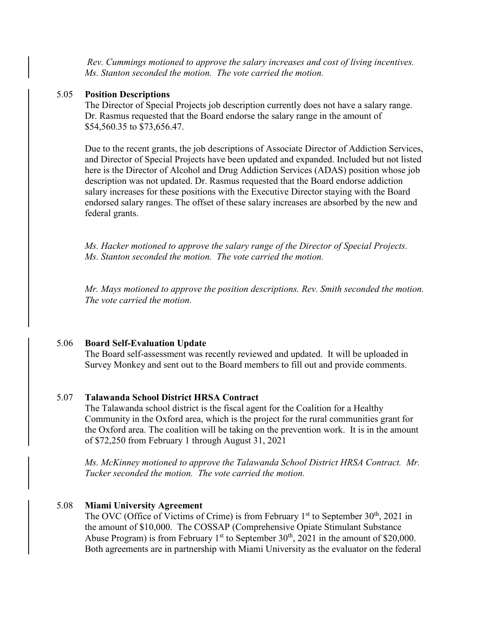*Rev. Cummings motioned to approve the salary increases and cost of living incentives. Ms. Stanton seconded the motion. The vote carried the motion.*

#### 5.05 **Position Descriptions**

The Director of Special Projects job description currently does not have a salary range. Dr. Rasmus requested that the Board endorse the salary range in the amount of \$54,560.35 to \$73,656.47.

Due to the recent grants, the job descriptions of Associate Director of Addiction Services, and Director of Special Projects have been updated and expanded. Included but not listed here is the Director of Alcohol and Drug Addiction Services (ADAS) position whose job description was not updated. Dr. Rasmus requested that the Board endorse addiction salary increases for these positions with the Executive Director staying with the Board endorsed salary ranges. The offset of these salary increases are absorbed by the new and federal grants.

*Ms. Hacker motioned to approve the salary range of the Director of Special Projects. Ms. Stanton seconded the motion. The vote carried the motion.*

*Mr. Mays motioned to approve the position descriptions. Rev. Smith seconded the motion. The vote carried the motion.*

#### 5.06 **Board Self-Evaluation Update**

The Board self-assessment was recently reviewed and updated. It will be uploaded in Survey Monkey and sent out to the Board members to fill out and provide comments.

### 5.07 **Talawanda School District HRSA Contract**

The Talawanda school district is the fiscal agent for the Coalition for a Healthy Community in the Oxford area, which is the project for the rural communities grant for the Oxford area. The coalition will be taking on the prevention work. It is in the amount of \$72,250 from February 1 through August 31, 2021

*Ms. McKinney motioned to approve the Talawanda School District HRSA Contract. Mr. Tucker seconded the motion. The vote carried the motion.* 

#### 5.08 **Miami University Agreement**

The OVC (Office of Victims of Crime) is from February  $1<sup>st</sup>$  to September 30<sup>th</sup>, 2021 in the amount of \$10,000. The COSSAP (Comprehensive Opiate Stimulant Substance Abuse Program) is from February 1<sup>st</sup> to September  $30<sup>th</sup>$ ,  $2021$  in the amount of \$20,000. Both agreements are in partnership with Miami University as the evaluator on the federal